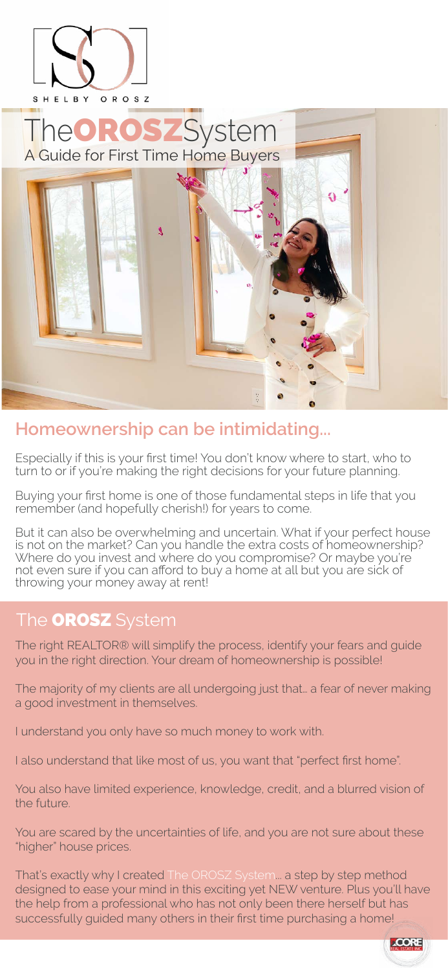

OROSZ SHELBY

# A Guide for First Time Home Buyers TheOROSZSystem



### **Homeownership can be intimidating...**

Especially if this is your first time! You don't know where to start, who to turn to or if you're making the right decisions for your future planning.

Buying your first home is one of those fundamental steps in life that you remember (and hopefully cherish!) for years to come.

But it can also be overwhelming and uncertain. What if your perfect house is not on the market? Can you handle the extra costs of homeownership? Where do you invest and where do you compromise? Or maybe you're not even sure if you can afford to buy a home at all but you are sick of throwing your money away at rent!

The right REALTOR® will simplify the process, identify your fears and guide you in the right direction. Your dream of homeownership is possible!

The majority of my clients are all undergoing just that… a fear of never making a good investment in themselves.

I understand you only have so much money to work with.

I also understand that like most of us, you want that "perfect first home".

You also have limited experience, knowledge, credit, and a blurred vision of the future.

You are scared by the uncertainties of life, and you are not sure about these "higher" house prices.

That's exactly why I created The OROSZ System... a step by step method designed to ease your mind in this exciting yet NEW venture. Plus you'll have the help from a professional who has not only been there herself but has successfully guided many others in their first time purchasing a home!



### The OROSZ System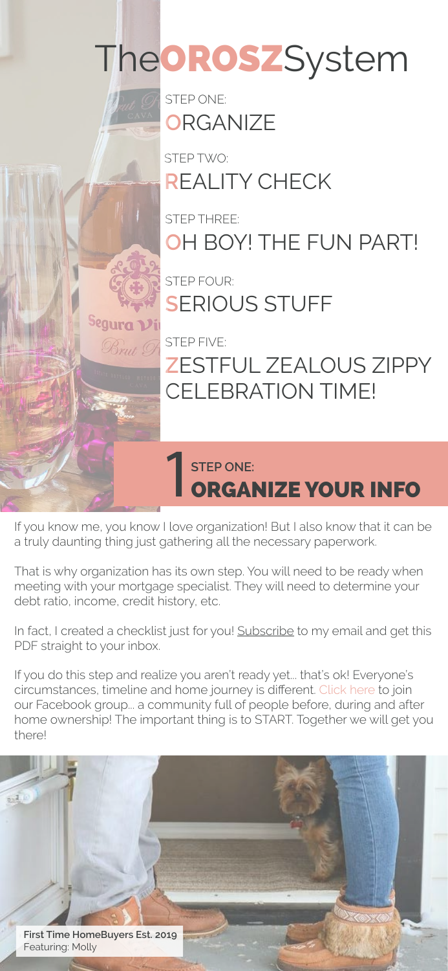STEP ONE: **O**RGANIZE

STEP TWO: **R**EALITY CHECK

STEP THREE: **O**H BOY! THE FUN PART!

STEP FOUR: **S**ERIOUS STUFF



STEP FIVE:

### **Z**ESTFUL ZEALOUS ZIPPY CELEBRATION TIME!

### STEP ONE:<br>**ORGANIZE YOUR INFO**

If you know me, you know I love organization! But I also know that it can be a truly daunting thing just gathering all the necessary paperwork.

That is why organization has its own step. You will need to be ready when meeting with your mortgage specialist. They will need to determine your debt ratio, income, credit history, etc.

In fact, I created a checklist just for you! [Subscribe](https://www.shelbyorosz.com/blogallthethings) to my email and get this PDF straight to your inbox.

If you do this step and realize you aren't ready yet... that's ok! Everyone's circumstances, timeline and home journey is different. [Click here](#page-5-0) to join our Facebook group... a community full of people before, during and after home ownership! The important thing is to START. Together we will get you there!

TheOROSZSystem

**First Time HomeBuyers Est. 2019** Featuring: Molly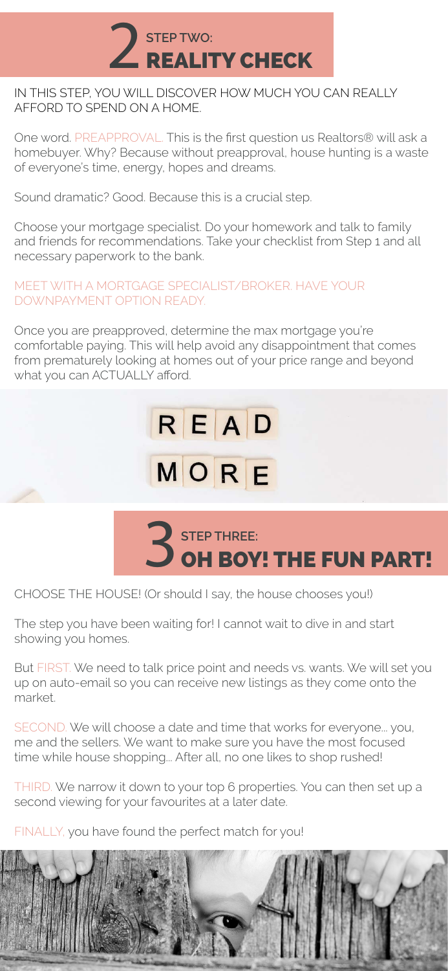

CHOOSE THE HOUSE! (Or should I say, the house chooses you!)

The step you have been waiting for! I cannot wait to dive in and start showing you homes.

SECOND. We will choose a date and time that works for everyone... you, me and the sellers. We want to make sure you have the most focused time while house shopping... After all, no one likes to shop rushed!

But FIRST. We need to talk price point and needs vs. wants. We will set you up on auto-email so you can receive new listings as they come onto the market.

THIRD. We narrow it down to your top 6 properties. You can then set up a second viewing for your favourites at a later date.

FINALLY, you have found the perfect match for you!





### IN THIS STEP, YOU WILL DISCOVER HOW MUCH YOU CAN REALLY AFFORD TO SPEND ON A HOME.

One word. PREAPPROVAL. This is the first question us Realtors® will ask a homebuyer. Why? Because without preapproval, house hunting is a waste of everyone's time, energy, hopes and dreams.

Sound dramatic? Good. Because this is a crucial step.

Choose your mortgage specialist. Do your homework and talk to family and friends for recommendations. Take your checklist from Step 1 and all necessary paperwork to the bank.

#### MEET WITH A MORTGAGE SPECIALIST/BROKER. HAVE YOUR DOWNPAYMENT OPTION READY.

Once you are preapproved, determine the max mortgage you're comfortable paying. This will help avoid any disappointment that comes from prematurely looking at homes out of your price range and beyond what you can ACTUALLY afford.

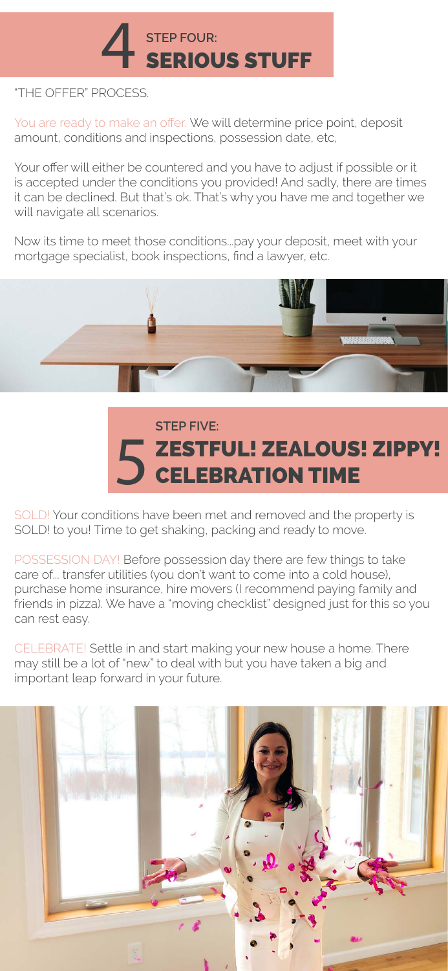SOLD! Your conditions have been met and removed and the property is SOLD! to you! Time to get shaking, packing and ready to move.

POSSESSION DAY! Before possession day there are few things to take care of... transfer utilities (you don't want to come into a cold house), purchase home insurance, hire movers (I recommend paying family and friends in pizza). We have a "moving checklist" designed just for this so you can rest easy.

CELEBRATE! Settle in and start making your new house a home. There may still be a lot of "new" to deal with but you have taken a big and important leap forward in your future.



## STEP FOUR:<br>SERIOUS STUFF

### "THE OFFER" PROCESS.

You are ready to make an offer. We will determine price point, deposit amount, conditions and inspections, possession date, etc,

Your offer will either be countered and you have to adjust if possible or it is accepted under the conditions you provided! And sadly, there are times it can be declined. But that's ok. That's why you have me and together we will navigate all scenarios.

Now its time to meet those conditions...pay your deposit, meet with your mortgage specialist, book inspections, find a lawyer, etc.





### **STEP FIVE:** ZESTFUL! ZEALOUS! ZIPPY!<br>CELEBRATION TIME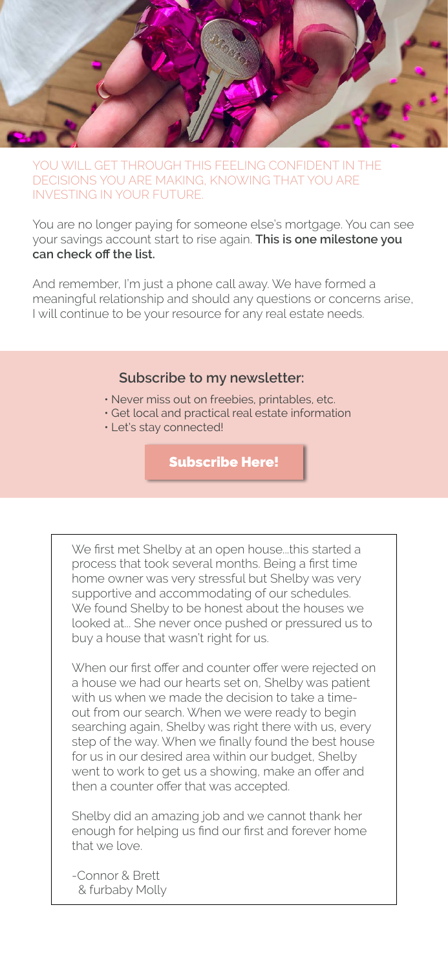

YOU WILL GET THROUGH THIS FEELING CONFIDENT IN THE DECISIONS YOU ARE MAKING, KNOWING THAT YOU ARE INVESTING IN YOUR FUTURE.

You are no longer paying for someone else's mortgage. You can see your savings account start to rise again. **This is one milestone you can check off the list.**

And remember, I'm just a phone call away. We have formed a meaningful relationship and should any questions or concerns arise, I will continue to be your resource for any real estate needs.

### **Subscribe to my newsletter:**

- Never miss out on freebies, printables, etc.
- Get local and practical real estate information
- Let's stay connected!

### [Subscribe Here!](https://www.shelbyorosz.com/blogallthethings)

We first met Shelby at an open house...this started a process that took several months. Being a first time home owner was very stressful but Shelby was very supportive and accommodating of our schedules. looked at... She never once pushed or pressured us to buy a house that wasn't right for us. We found Shelby to be honest about the houses we

When our first offer and counter offer were rejected on a house we had our hearts set on, Shelby was patient with us when we made the decision to take a timeout from our search. When we were ready to begin searching again, Shelby was right there with us, every step of the way. When we finally found the best house for us in our desired area within our budget, Shelby went to work to get us a showing, make an offer and then a counter offer that was accepted.

Shelby did an amazing job and we cannot thank her enough for helping us find our first and forever home that we love.

& furbaby Molly -Connor & Brett